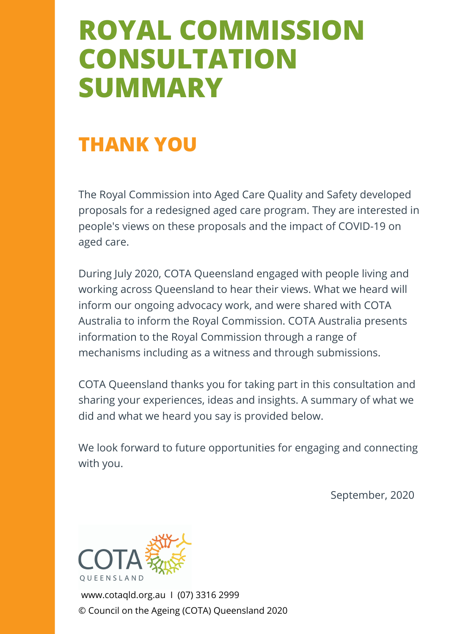# **ROYAL COMMISSION CONSULTATION SUMMARY**

# **THANK YOU**

The Royal Commission into Aged Care Quality and Safety developed proposals for a redesigned aged care program. They are interested in people's views on these proposals and the impact of COVID-19 on aged care.

During July 2020, COTA Queensland engaged with people living and working across Queensland to hear their views. What we heard will inform our ongoing advocacy work, and were shared with COTA Australia to inform the Royal Commission. COTA Australia presents information to the Royal Commission through a range of mechanisms including as a witness and through submissions.

COTA Queensland thanks you for taking part in this consultation and sharing your experiences, ideas and insights. A summary of what we did and what we heard you say is provided below.

We look forward to future opportunities for engaging and connecting with you.

September, 2020

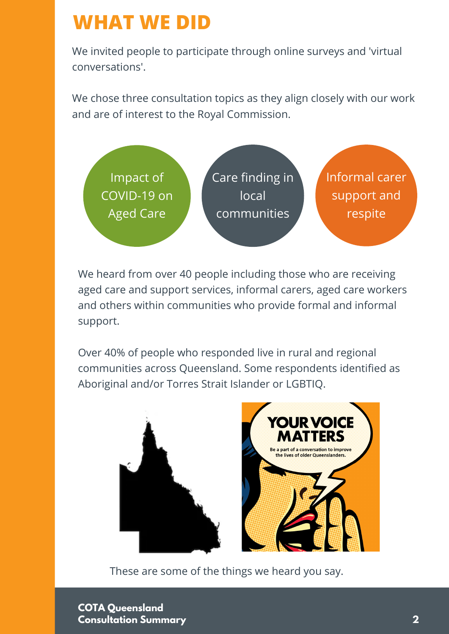# **WHAT WE DID**

We invited people to participate through online surveys and 'virtual conversations'.

We chose three consultation topics as they align closely with our work and are of interest to the Royal Commission.



We heard from over 40 people including those who are receiving aged care and support services, informal carers, aged care workers and others within communities who provide formal and informal support.

Over 40% of people who responded live in rural and regional communities across Queensland. Some respondents identified as Aboriginal and/or Torres Strait Islander or LGBTIQ.



These are some of the things we heard you say.

**COTA Queensland Consultation Summary 2**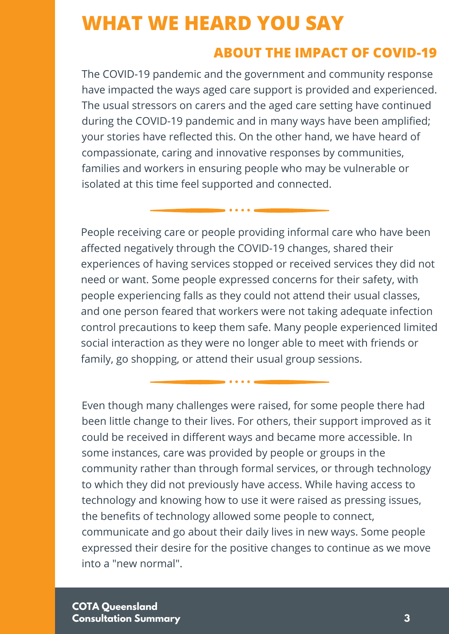### **WHAT WE HEARD YOU SAY**

#### **ABOUT THE IMPACT OF COVID-19**

re responses by communi isolated at this time feel supported and connected. The COVID-19 pandemic and the government and community response have impacted the ways aged care support is provided and experienced. The usual stressors on carers and the aged care setting have continued during the COVID-19 pandemic and in many ways have been amplified; your stories have reflected this. On the other hand, we have heard of compassionate, caring and innovative responses by communities, families and workers in ensuring people who may be vulnerable or

**...%** family, go shopping, or attend their usual group sessions. Services Housing respie recenting care or people providing informations circ who has<br>affected negatively through the COVID-19 changes, shared their People receiving care or people providing informal care who have been experiences of having services stopped or received services they did not need or want. Some people expressed concerns for their safety, with people experiencing falls as they could not attend their usual classes, and one person feared that workers were not taking adequate infection control precautions to keep them safe. Many people experienced limited social interaction as they were no longer able to meet with friends or

Even though many challenges were raised, for some people there had been little change to their lives. For others, their support improved as it could be received in different ways and became more accessible. In some instances, care was provided by people or groups in the community rather than through formal services, or through technology to which they did not previously have access. While having access to technology and knowing how to use it were raised as pressing issues, the benefits of technology allowed some people to connect, communicate and go about their daily lives in new ways. Some people expressed their desire for the positive changes to continue as we move into a "new normal".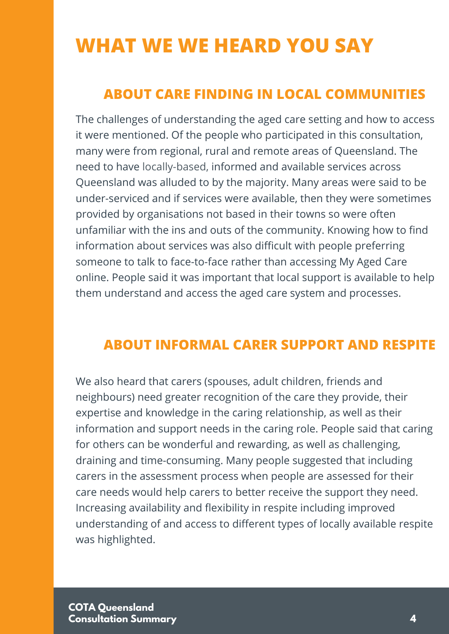# **WHAT WE WE HEARD YOU SAY**

#### **ABOUT CARE FINDING IN LOCAL COMMUNITIES**

The challenges of understanding the aged care setting and how to access it were mentioned. Of the people who participated in this consultation, many were from regional, rural and remote areas of Queensland. The need to have locally-based, informed and available services across Queensland was alluded to by the majority. Many areas were said to be under-serviced and if services were available, then they were sometimes provided by organisations not based in their towns so were often unfamiliar with the ins and outs of the community. Knowing how to find information about services was also difficult with people preferring someone to talk to face-to-face rather than accessing My Aged Care online. People said it was important that local support is available to help them understand and access the aged care system and processes.

#### **ABOUT INFORMAL CARER SUPPORT AND RESPITE**

We also heard that carers (spouses, adult children, friends and neighbours) need greater recognition of the care they provide, their expertise and knowledge in the caring relationship, as well as their information and support needs in the caring role. People said that caring for others can be wonderful and rewarding, as well as challenging, draining and time-consuming. Many people suggested that including carers in the assessment process when people are assessed for their care needs would help carers to better receive the support they need. Increasing availability and flexibility in respite including improved understanding of and access to different types of locally available respite was highlighted.